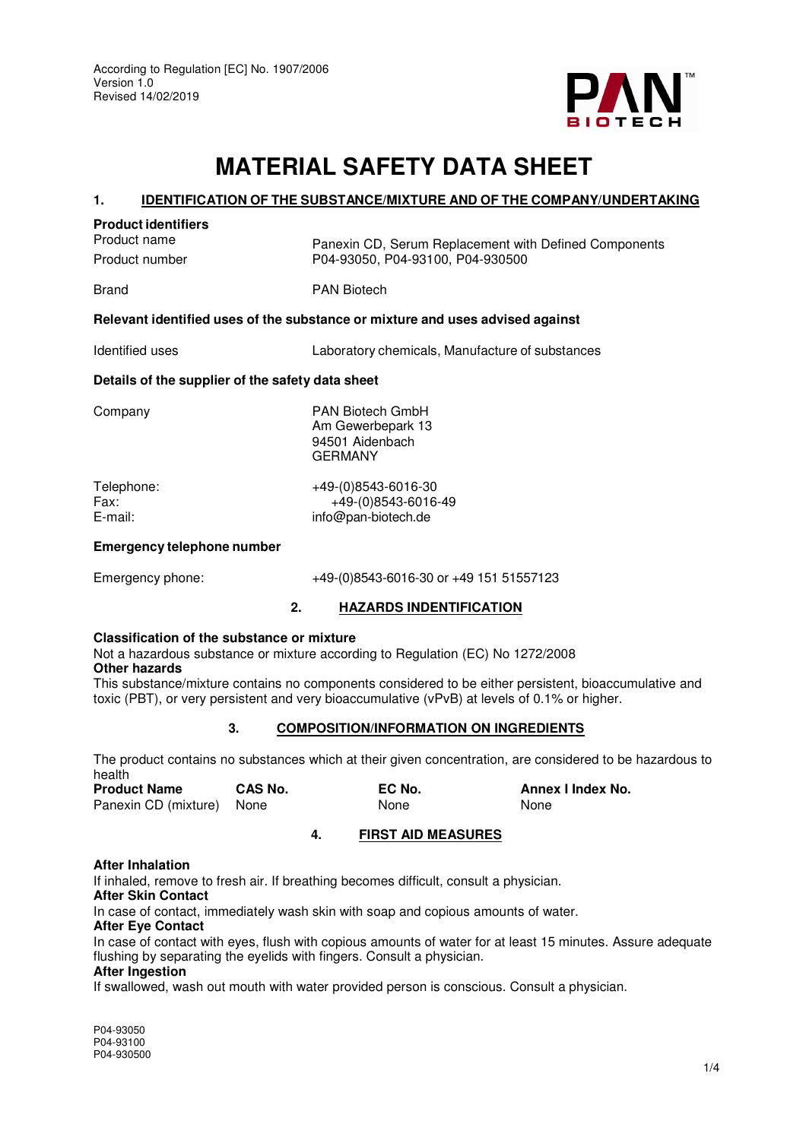

# **MATERIAL SAFETY DATA SHEET**

#### **1. IDENTIFICATION OF THE SUBSTANCE/MIXTURE AND OF THE COMPANY/UNDERTAKING**

#### **Product identifiers**

Product name<br>
Panexin CD, Serum Replacement with Defined Components<br>
P04-93050. P04-93100. P04-930500 P04-93050, P04-93100, P04-930500

Brand **PAN Biotech** 

# **Relevant identified uses of the substance or mixture and uses advised against**

Identified uses Laboratory chemicals, Manufacture of substances

# **Details of the supplier of the safety data sheet**

Company PAN Biotech GmbH Am Gewerbepark 13 94501 Aidenbach **GERMANY** 

Telephone: +49-(0)8543-6016-30 Fax: +49-(0)8543-6016-49 E-mail: info@pan-biotech.de

## **Emergency telephone number**

# Emergency phone: +49-(0)8543-6016-30 or +49 151 51557123

# **2. HAZARDS INDENTIFICATION**

## **Classification of the substance or mixture**

Not a hazardous substance or mixture according to Regulation (EC) No 1272/2008 **Other hazards** 

This substance/mixture contains no components considered to be either persistent, bioaccumulative and toxic (PBT), or very persistent and very bioaccumulative (vPvB) at levels of 0.1% or higher.

# **3. COMPOSITION/INFORMATION ON INGREDIENTS**

The product contains no substances which at their given concentration, are considered to be hazardous to health

| <b>Product Name</b>       | CAS No. | EC No. | Annex I Index No. |
|---------------------------|---------|--------|-------------------|
| Panexin CD (mixture) None |         | None   | None              |

# **4. FIRST AID MEASURES**

# **After Inhalation**

If inhaled, remove to fresh air. If breathing becomes difficult, consult a physician.

# **After Skin Contact**

In case of contact, immediately wash skin with soap and copious amounts of water.

## **After Eye Contact**

In case of contact with eyes, flush with copious amounts of water for at least 15 minutes. Assure adequate flushing by separating the eyelids with fingers. Consult a physician.

## **After Ingestion**

If swallowed, wash out mouth with water provided person is conscious. Consult a physician.

P04-93050 P04-93100 P04-930500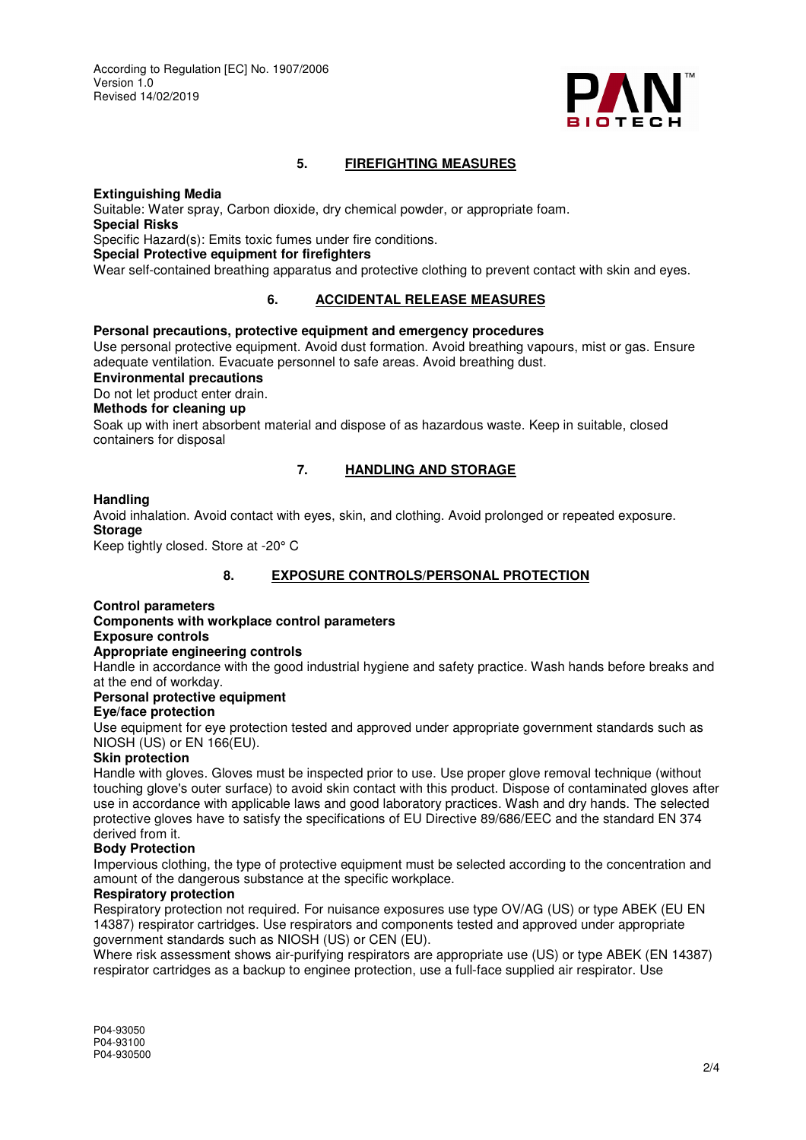

# **5. FIREFIGHTING MEASURES**

#### **Extinguishing Media**

Suitable: Water spray, Carbon dioxide, dry chemical powder, or appropriate foam. **Special Risks**  Specific Hazard(s): Emits toxic fumes under fire conditions. **Special Protective equipment for firefighters**  Wear self-contained breathing apparatus and protective clothing to prevent contact with skin and eyes.

# **6. ACCIDENTAL RELEASE MEASURES**

# **Personal precautions, protective equipment and emergency procedures**

Use personal protective equipment. Avoid dust formation. Avoid breathing vapours, mist or gas. Ensure adequate ventilation. Evacuate personnel to safe areas. Avoid breathing dust.

**Environmental precautions** 

Do not let product enter drain.

# **Methods for cleaning up**

Soak up with inert absorbent material and dispose of as hazardous waste. Keep in suitable, closed containers for disposal

## **7. HANDLING AND STORAGE**

#### **Handling**

Avoid inhalation. Avoid contact with eyes, skin, and clothing. Avoid prolonged or repeated exposure. **Storage** 

Keep tightly closed. Store at -20° C

# **8. EXPOSURE CONTROLS/PERSONAL PROTECTION**

## **Control parameters**

**Components with workplace control parameters Exposure controls** 

# **Appropriate engineering controls**

Handle in accordance with the good industrial hygiene and safety practice. Wash hands before breaks and at the end of workday.

# **Personal protective equipment**

## **Eye/face protection**

Use equipment for eye protection tested and approved under appropriate government standards such as NIOSH (US) or EN 166(EU).

## **Skin protection**

Handle with gloves. Gloves must be inspected prior to use. Use proper glove removal technique (without touching glove's outer surface) to avoid skin contact with this product. Dispose of contaminated gloves after use in accordance with applicable laws and good laboratory practices. Wash and dry hands. The selected protective gloves have to satisfy the specifications of EU Directive 89/686/EEC and the standard EN 374 derived from it.

## **Body Protection**

Impervious clothing, the type of protective equipment must be selected according to the concentration and amount of the dangerous substance at the specific workplace.

#### **Respiratory protection**

Respiratory protection not required. For nuisance exposures use type OV/AG (US) or type ABEK (EU EN 14387) respirator cartridges. Use respirators and components tested and approved under appropriate government standards such as NIOSH (US) or CEN (EU).

Where risk assessment shows air-purifying respirators are appropriate use (US) or type ABEK (EN 14387) respirator cartridges as a backup to enginee protection, use a full-face supplied air respirator. Use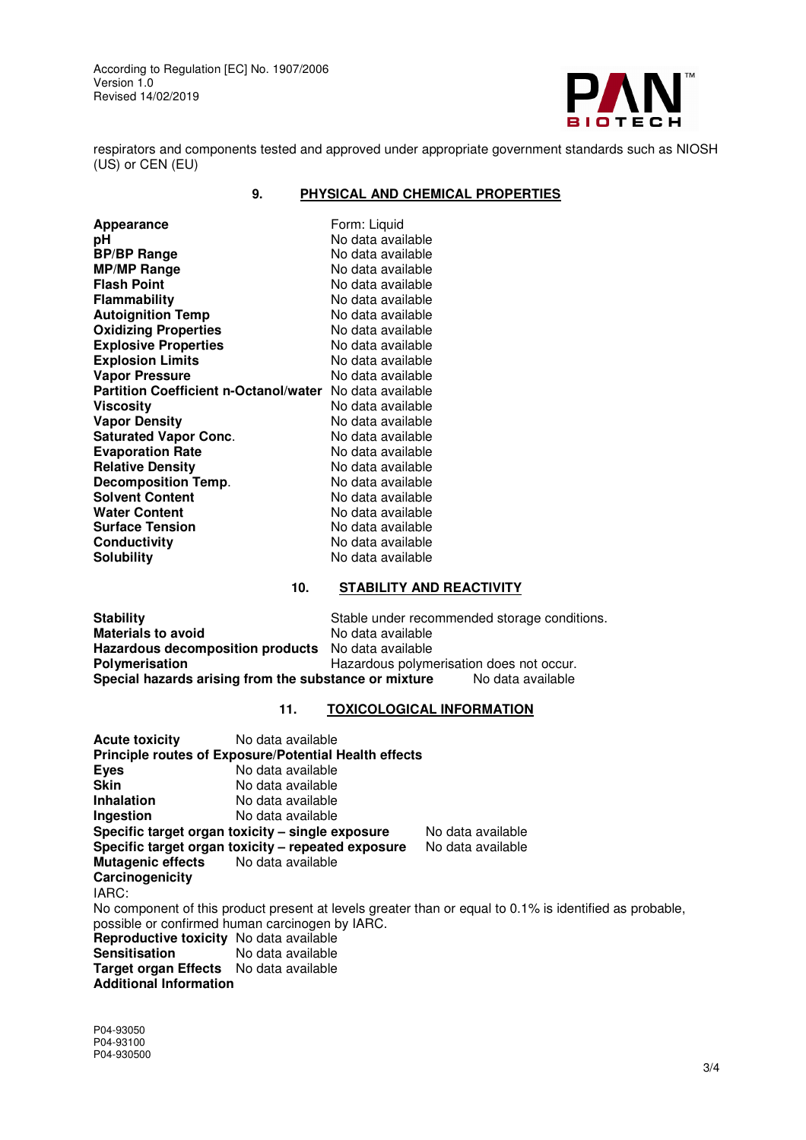According to Regulation [EC] No. 1907/2006 Version 1.0 Revised 14/02/2019



respirators and components tested and approved under appropriate government standards such as NIOSH (US) or CEN (EU)

# **9. PHYSICAL AND CHEMICAL PROPERTIES**

| Appearance                                   | Form: Liquid      |
|----------------------------------------------|-------------------|
| рH                                           | No data available |
| <b>BP/BP Range</b>                           | No data available |
| <b>MP/MP Range</b>                           | No data available |
| <b>Flash Point</b>                           | No data available |
| <b>Flammability</b>                          | No data available |
| <b>Autoignition Temp</b>                     | No data available |
| <b>Oxidizing Properties</b>                  | No data available |
| <b>Explosive Properties</b>                  | No data available |
| <b>Explosion Limits</b>                      | No data available |
| <b>Vapor Pressure</b>                        | No data available |
| <b>Partition Coefficient n-Octanol/water</b> | No data available |
| Viscosity                                    | No data available |
| <b>Vapor Density</b>                         | No data available |
| <b>Saturated Vapor Conc.</b>                 | No data available |
| <b>Evaporation Rate</b>                      | No data available |
| <b>Relative Density</b>                      | No data available |
| Decomposition Temp.                          | No data available |
| <b>Solvent Content</b>                       | No data available |
| <b>Water Content</b>                         | No data available |
| <b>Surface Tension</b>                       | No data available |
| Conductivity                                 | No data available |
| <b>Solubility</b>                            | No data available |

# **10. STABILITY AND REACTIVITY**

| <b>Stability</b>                                                           | Stable under recommended storage conditions. |  |
|----------------------------------------------------------------------------|----------------------------------------------|--|
| <b>Materials to avoid</b>                                                  | No data available                            |  |
| Hazardous decomposition products No data available                         |                                              |  |
| Polymerisation                                                             | Hazardous polymerisation does not occur.     |  |
| Special hazards arising from the substance or mixture<br>No data available |                                              |  |

# **11. TOXICOLOGICAL INFORMATION**

| <b>Acute toxicity</b><br>No data available                   |                                                                                                         |
|--------------------------------------------------------------|---------------------------------------------------------------------------------------------------------|
| <b>Principle routes of Exposure/Potential Health effects</b> |                                                                                                         |
| No data available<br><b>Eyes</b>                             |                                                                                                         |
| Skin<br>No data available                                    |                                                                                                         |
| <b>Inhalation</b><br>No data available                       |                                                                                                         |
| No data available<br>Ingestion                               |                                                                                                         |
| Specific target organ toxicity – single exposure             | No data available                                                                                       |
| Specific target organ toxicity - repeated exposure           | No data available                                                                                       |
| Mutagenic effects No data available                          |                                                                                                         |
| Carcinogenicity                                              |                                                                                                         |
| IARC:                                                        |                                                                                                         |
|                                                              | No component of this product present at levels greater than or equal to 0.1% is identified as probable, |
| possible or confirmed human carcinogen by IARC.              |                                                                                                         |
| <b>Reproductive toxicity</b> No data available               |                                                                                                         |
| <b>Sensitisation</b><br>No data available                    |                                                                                                         |
| <b>Target organ Effects</b> No data available                |                                                                                                         |
| <b>Additional Information</b>                                |                                                                                                         |